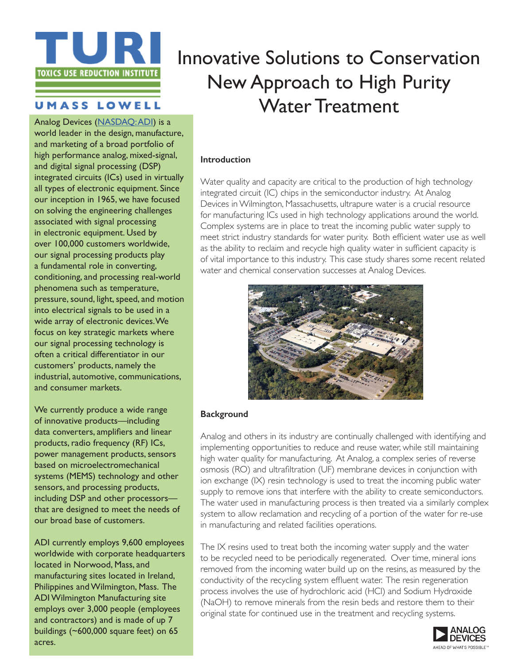

# **UMASS LOWELL**

Analog Devices [\(NASDAQ: ADI](http://finance.yahoo.com/q?s=ADI)) is a world leader in the design, manufacture, and marketing of a broad portfolio of high performance analog, mixed-signal, and digital signal processing (DSP) integrated circuits (ICs) used in virtually all types of electronic equipment. Since our inception in 1965, we have focused on solving the engineering challenges associated with signal processing in electronic equipment. Used by over 100,000 customers worldwide, our signal processing products play a fundamental role in converting, conditioning, and processing real-world phenomena such as temperature, pressure, sound, light, speed, and motion into electrical signals to be used in a wide array of electronic devices. We focus on key strategic markets where our signal processing technology is often a critical differentiator in our customers' products, namely the industrial, automotive, communications, and consumer markets.

We currently produce a wide range of innovative products—including data converters, amplifiers and linear products, radio frequency (RF) ICs, power management products, sensors based on microelectromechanical systems (MEMS) technology and other sensors, and processing products, including DSP and other processors that are designed to meet the needs of our broad base of customers.

ADI currently employs 9,600 employees worldwide with corporate headquarters located in Norwood, Mass, and manufacturing sites located in Ireland, Philippines and Wilmington, Mass. The ADI Wilmington Manufacturing site employs over 3,000 people (employees and contractors) and is made of up 7 buildings (~600,000 square feet) on 65 acres.

# Innovative Solutions to Conservation New Approach to High Purity Water Treatment

#### **Introduction**

Water quality and capacity are critical to the production of high technology integrated circuit (IC) chips in the semiconductor industry. At Analog Devices in Wilmington, Massachusetts, ultrapure water is a crucial resource for manufacturing ICs used in high technology applications around the world. Complex systems are in place to treat the incoming public water supply to meet strict industry standards for water purity. Both efficient water use as well as the ability to reclaim and recycle high quality water in sufficient capacity is of vital importance to this industry. This case study shares some recent related water and chemical conservation successes at Analog Devices.



#### **Background**

Analog and others in its industry are continually challenged with identifying and implementing opportunities to reduce and reuse water, while still maintaining high water quality for manufacturing. At Analog, a complex series of reverse osmosis (RO) and ultrafiltration (UF) membrane devices in conjunction with ion exchange (IX) resin technology is used to treat the incoming public water supply to remove ions that interfere with the ability to create semiconductors. The water used in manufacturing process is then treated via a similarly complex system to allow reclamation and recycling of a portion of the water for re-use in manufacturing and related facilities operations.

The IX resins used to treat both the incoming water supply and the water to be recycled need to be periodically regenerated. Over time, mineral ions removed from the incoming water build up on the resins, as measured by the conductivity of the recycling system effluent water. The resin regeneration process involves the use of hydrochloric acid (HCl) and Sodium Hydroxide (NaOH) to remove minerals from the resin beds and restore them to their original state for continued use in the treatment and recycling systems.